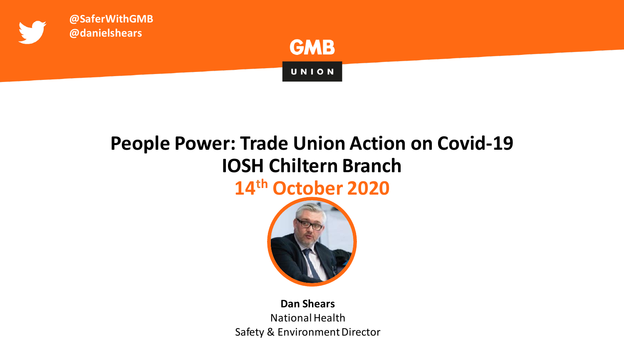

## **People Power: Trade Union Action on Covid-19 IOSH Chiltern Branch 14th October 2020**



## **Dan Shears** National Health Safety & Environment Director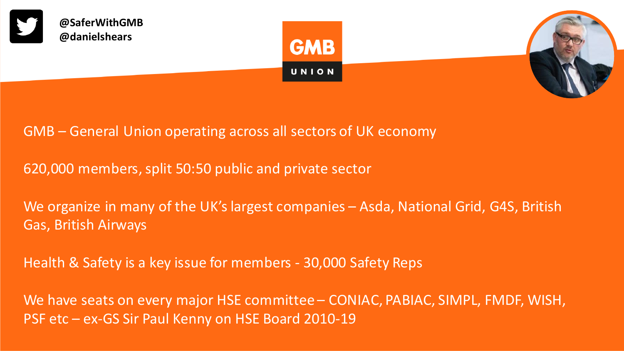





GMB – General Union operating across all sectors of UK economy

620,000 members, split 50:50 public and private sector

We organize in many of the UK's largest companies - Asda, National Grid, G4S, British Gas, British Airways

Health & Safety is a key issue for members - 30,000 Safety Reps

We have seats on every major HSE committee – CONIAC, PABIAC, SIMPL, FMDF, WISH, PSF etc – ex-GS Sir Paul Kenny on HSE Board 2010-19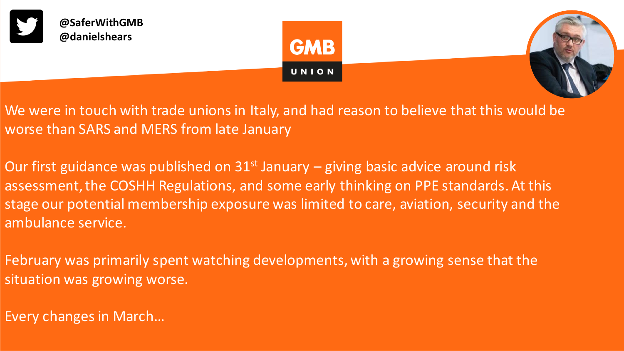





We were in touch with trade unions in Italy, and had reason to believe that this would be worse than SARS and MERS from late January

Our first guidance was published on  $31<sup>st</sup>$  January – giving basic advice around risk assessment, the COSHH Regulations, and some early thinking on PPE standards. At this stage our potential membership exposure was limited to care, aviation, security and the ambulance service.

February was primarily spent watching developments, with a growing sense that the situation was growing worse.

Every changes in March…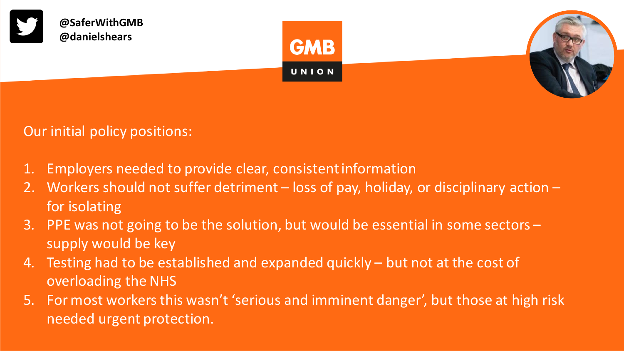

Our initial policy positions:

- 1. Employers needed to provide clear, consistent information
- 2. Workers should not suffer detriment loss of pay, holiday, or disciplinary action for isolating
- 3. PPE was not going to be the solution, but would be essential in some sectors supply would be key
- 4. Testing had to be established and expanded quickly but not at the cost of overloading the NHS
- 5. For most workers this wasn't 'serious and imminent danger', but those at high risk needed urgent protection.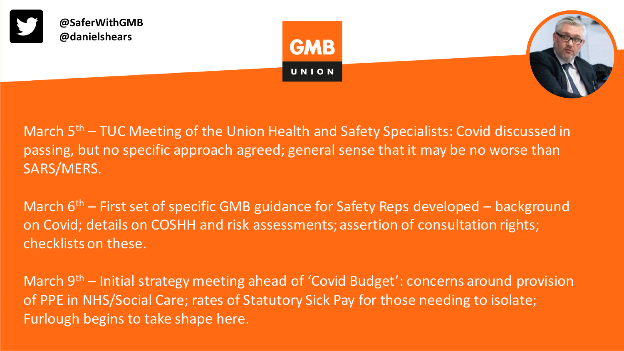

March 5<sup>th</sup> – TUC Meeting of the Union Health and Safety Specialists: Covid discussed in passing, but no specific approach agreed; general sense that it may be no worse than SARS/MERS.

March  $6<sup>th</sup>$  – First set of specific GMB guidance for Safety Reps developed – background on Covid; details on COSHH and risk assessments; assertion of consultation rights; checklists on these.

March 9<sup>th</sup> – Initial strategy meeting ahead of 'Covid Budget': concerns around provision of PPE in NHS/Social Care; rates of Statutory Sick Pay for those needing to isolate; Furlough begins to take shape here.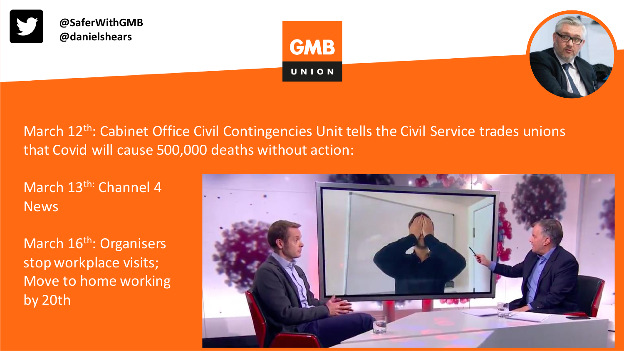

March 12<sup>th</sup>: Cabinet Office Civil Contingencies Unit tells the Civil Service trades unions that Covid will cause 500,000 deaths without action:

March 13<sup>th:</sup> Channel 4 News

March 16<sup>th</sup>: Organisers stop workplace visits; Move to home working by 20th

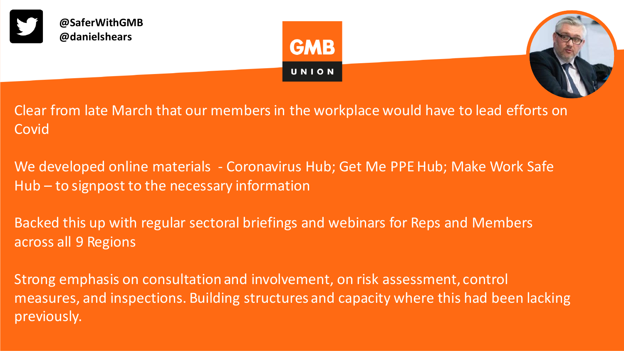





Clear from late March that our members in the workplace would have to lead efforts on **Covid** 

We developed online materials - Coronavirus Hub; Get Me PPE Hub; Make Work Safe Hub – to signpost to the necessary information

Backed this up with regular sectoral briefings and webinars for Reps and Members across all 9 Regions

Strong emphasis on consultation and involvement, on risk assessment, control measures, and inspections. Building structures and capacity where this had been lacking previously.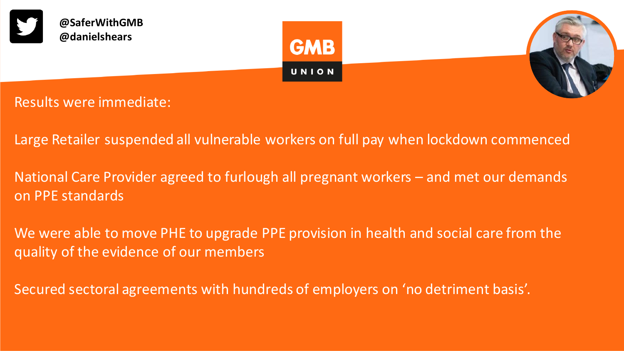

Results were immediate:

- Large Retailer suspended all vulnerable workers on full pay when lockdown commenced
- National Care Provider agreed to furlough all pregnant workers and met our demands on PPE standards
- We were able to move PHE to upgrade PPE provision in health and social care from the quality of the evidence of our members
- Secured sectoral agreements with hundreds of employers on 'no detriment basis'.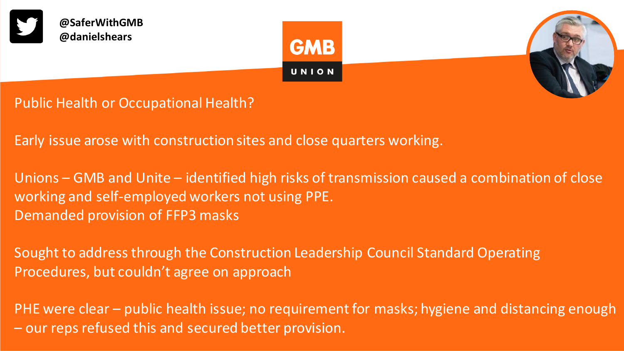





Public Health or Occupational Health?

Early issue arose with construction sites and close quarters working.

Unions – GMB and Unite – identified high risks of transmission caused a combination of close working and self-employed workers not using PPE. Demanded provision of FFP3 masks

Sought to address through the Construction Leadership Council Standard Operating Procedures, but couldn't agree on approach

PHE were clear – public health issue; no requirement for masks; hygiene and distancing enough – our reps refused this and secured better provision.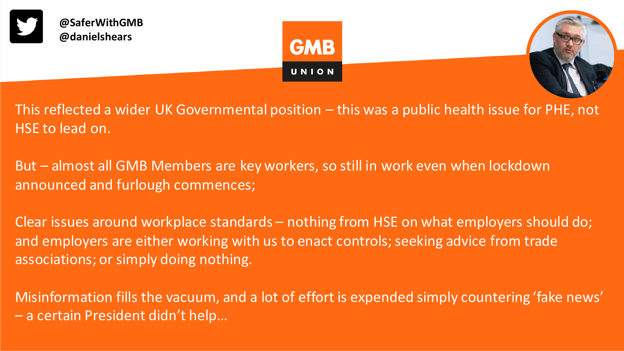





This reflected a wider UK Governmental position – this was a public health issue for PHE, not HSE to lead on.

But – almost all GMB Members are key workers, so still in work even when lockdown announced and furlough commences;

Clear issues around workplace standards – nothing from HSE on what employers should do; and employers are either working with us to enact controls; seeking advice from trade associations; or simply doing nothing.

Misinformation fills the vacuum, and a lot of effort is expended simply countering 'fake news' – a certain President didn't help…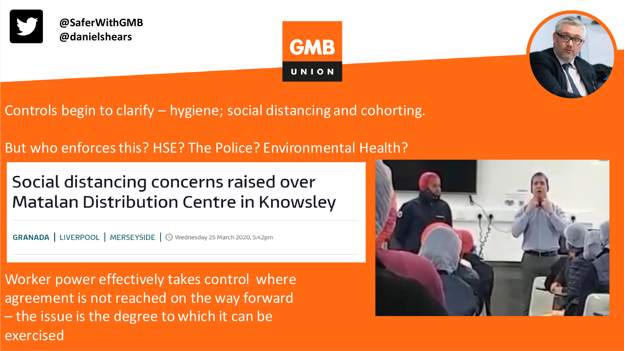





Controls begin to clarify – hygiene; social distancing and cohorting.

But who enforces this? HSE? The Police? Environmental Health?

Social distancing concerns raised over **Matalan Distribution Centre in Knowsley** 

**GRANADA** | LIVERPOOL | MERSEYSIDE | ① Wednesday 25 March 2020, 5:42pm

Worker power effectively takes control where agreement is not reached on the way forward – the issue is the degree to which it can be exercised

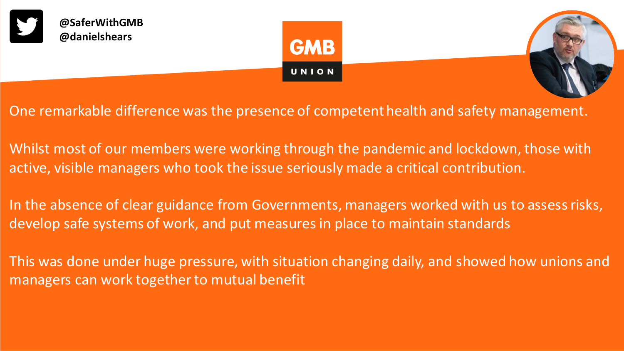





One remarkable difference was the presence of competent health and safety management.

Whilst most of our members were working through the pandemic and lockdown, those with active, visible managers who took the issue seriously made a critical contribution.

In the absence of clear guidance from Governments, managers worked with us to assess risks, develop safe systems of work, and put measures in place to maintain standards

This was done under huge pressure, with situation changing daily, and showed how unions and managers can work together to mutual benefit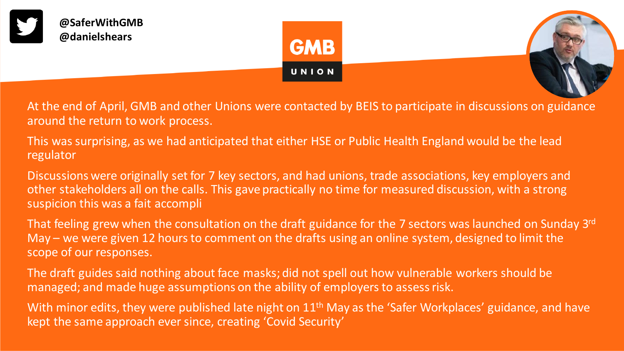





At the end of April, GMB and other Unions were contacted by BEIS to participate in discussions on guidance around the return to work process.

This was surprising, as we had anticipated that either HSE or Public Health England would be the lead regulator

Discussions were originally set for 7 key sectors, and had unions, trade associations, key employers and other stakeholders all on the calls. This gave practically no time for measured discussion, with a strong suspicion this was a fait accompli

That feeling grew when the consultation on the draft guidance for the 7 sectors was launched on Sunday 3rd May – we were given 12 hours to comment on the drafts using an online system, designed to limit the scope of our responses.

The draft guides said nothing about face masks; did not spell out how vulnerable workers should be managed; and made huge assumptions on the ability of employers to assess risk.

With minor edits, they were published late night on  $11<sup>th</sup>$  May as the 'Safer Workplaces' guidance, and have kept the same approach ever since, creating 'Covid Security'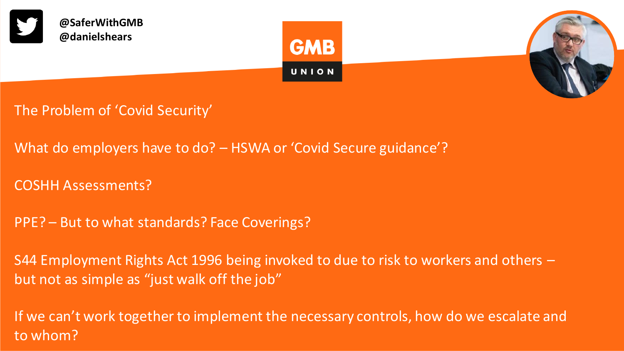

- The Problem of 'Covid Security'
- What do employers have to do? HSWA or 'Covid Secure guidance'?
- COSHH Assessments?
- PPE? But to what standards? Face Coverings?
- S44 Employment Rights Act 1996 being invoked to due to risk to workers and others but not as simple as "just walk off the job"

If we can't work together to implement the necessary controls, how do we escalate and to whom?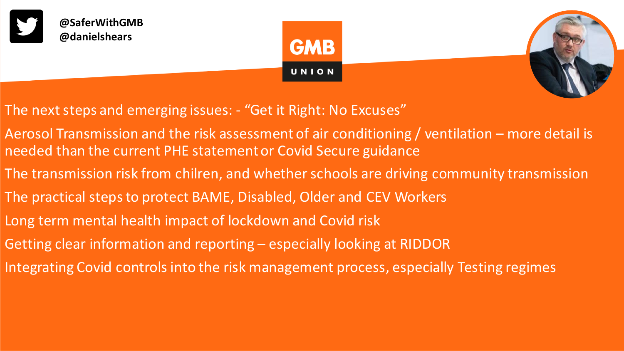





- The next steps and emerging issues: "Get it Right: No Excuses"
- Aerosol Transmission and the risk assessment of air conditioning / ventilation more detail is needed than the current PHE statement or Covid Secure guidance
- The transmission risk from chilren, and whether schools are driving community transmission
- The practical steps to protect BAME, Disabled, Older and CEV Workers
- Long term mental health impact of lockdown and Covid risk
- Getting clear information and reporting especially looking at RIDDOR
- Integrating Covid controls into the risk management process, especially Testing regimes